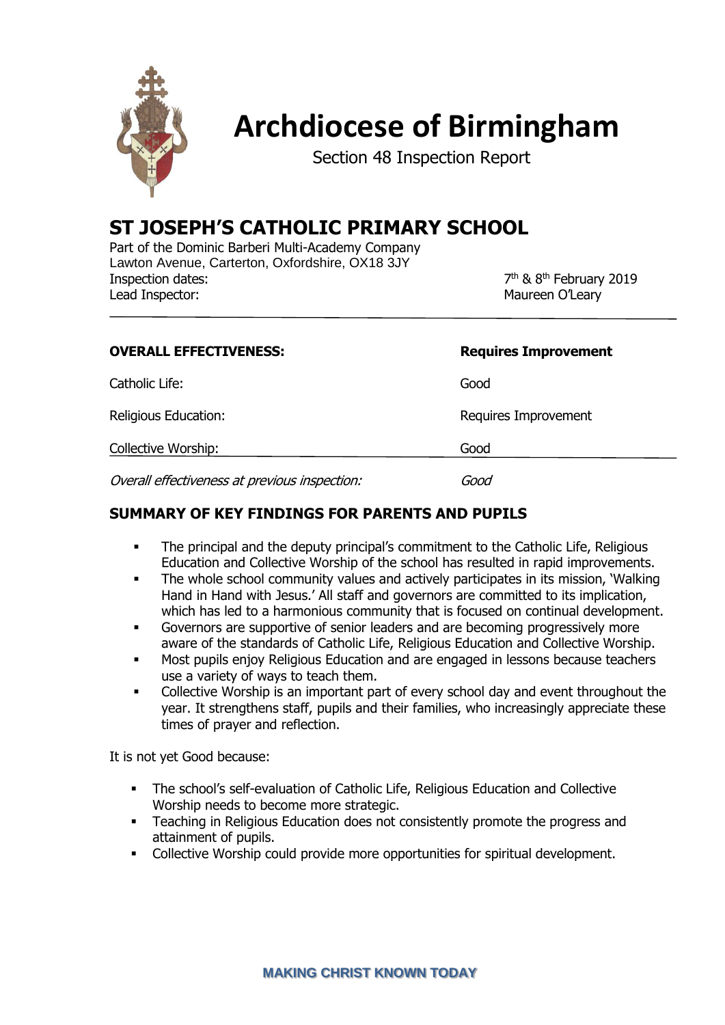

# **Archdiocese of Birmingham**

Section 48 Inspection Report

# **ST JOSEPH'S CATHOLIC PRIMARY SCHOOL**

Part of the Dominic Barberi Multi-Academy Company Lawton Avenue, Carterton, Oxfordshire, OX18 3JY Inspection dates: Lead Inspector: National According to the Maureen O'Leary Maureen O'Leary

7<sup>th</sup> & 8<sup>th</sup> February 2019

| <b>OVERALL EFFECTIVENESS:</b>                 | <b>Requires Improvement</b> |
|-----------------------------------------------|-----------------------------|
| Catholic Life:                                | Good                        |
| Religious Education:                          | Requires Improvement        |
| <b>Collective Worship:</b>                    | Good                        |
| Overall effectiveness at previous inspection: | Good                        |

# **SUMMARY OF KEY FINDINGS FOR PARENTS AND PUPILS**

- The principal and the deputy principal's commitment to the Catholic Life, Religious Education and Collective Worship of the school has resulted in rapid improvements.
- The whole school community values and actively participates in its mission, 'Walking Hand in Hand with Jesus.' All staff and governors are committed to its implication, which has led to a harmonious community that is focused on continual development.
- Governors are supportive of senior leaders and are becoming progressively more aware of the standards of Catholic Life, Religious Education and Collective Worship.
- Most pupils enjoy Religious Education and are engaged in lessons because teachers use a variety of ways to teach them.
- Collective Worship is an important part of every school day and event throughout the year. It strengthens staff, pupils and their families, who increasingly appreciate these times of prayer and reflection.

It is not yet Good because:

- The school's self-evaluation of Catholic Life, Religious Education and Collective Worship needs to become more strategic.
- Teaching in Religious Education does not consistently promote the progress and attainment of pupils.
- Collective Worship could provide more opportunities for spiritual development.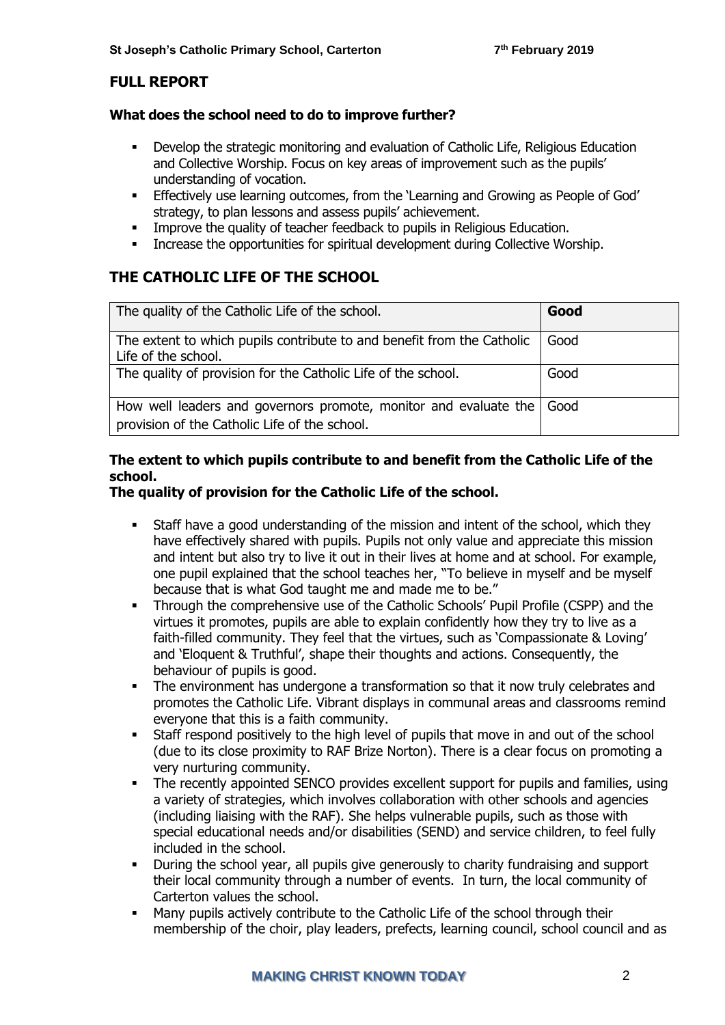### **FULL REPORT**

#### **What does the school need to do to improve further?**

- Develop the strategic monitoring and evaluation of Catholic Life, Religious Education and Collective Worship. Focus on key areas of improvement such as the pupils' understanding of vocation.
- **Effectively use learning outcomes, from the 'Learning and Growing as People of God'** strategy, to plan lessons and assess pupils' achievement.
- Improve the quality of teacher feedback to pupils in Religious Education.
- Increase the opportunities for spiritual development during Collective Worship.

# **THE CATHOLIC LIFE OF THE SCHOOL**

| The quality of the Catholic Life of the school.                                                                   | Good   |
|-------------------------------------------------------------------------------------------------------------------|--------|
| The extent to which pupils contribute to and benefit from the Catholic<br>Life of the school.                     | Good   |
| The quality of provision for the Catholic Life of the school.                                                     | Good   |
| How well leaders and governors promote, monitor and evaluate the<br>provision of the Catholic Life of the school. | l Good |

### **The extent to which pupils contribute to and benefit from the Catholic Life of the school.**

#### **The quality of provision for the Catholic Life of the school.**

- **EXECT:** Staff have a good understanding of the mission and intent of the school, which they have effectively shared with pupils. Pupils not only value and appreciate this mission and intent but also try to live it out in their lives at home and at school. For example, one pupil explained that the school teaches her, "To believe in myself and be myself because that is what God taught me and made me to be."
- **•** Through the comprehensive use of the Catholic Schools' Pupil Profile (CSPP) and the virtues it promotes, pupils are able to explain confidently how they try to live as a faith-filled community. They feel that the virtues, such as 'Compassionate & Loving' and 'Eloquent & Truthful', shape their thoughts and actions. Consequently, the behaviour of pupils is good.
- The environment has undergone a transformation so that it now truly celebrates and promotes the Catholic Life. Vibrant displays in communal areas and classrooms remind everyone that this is a faith community.
- Staff respond positively to the high level of pupils that move in and out of the school (due to its close proximity to RAF Brize Norton). There is a clear focus on promoting a very nurturing community.
- **•** The recently appointed SENCO provides excellent support for pupils and families, using a variety of strategies, which involves collaboration with other schools and agencies (including liaising with the RAF). She helps vulnerable pupils, such as those with special educational needs and/or disabilities (SEND) and service children, to feel fully included in the school.
- During the school year, all pupils give generously to charity fundraising and support their local community through a number of events. In turn, the local community of Carterton values the school.
- Many pupils actively contribute to the Catholic Life of the school through their membership of the choir, play leaders, prefects, learning council, school council and as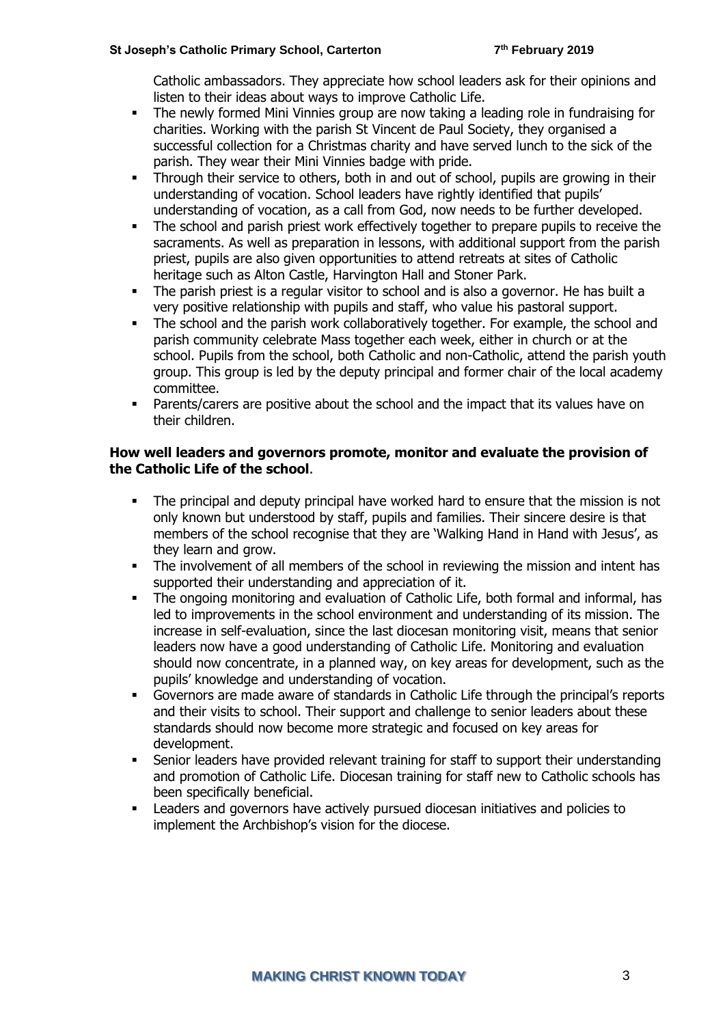#### **St Joseph's Catholic Primary School, Carterton 7**

Catholic ambassadors. They appreciate how school leaders ask for their opinions and listen to their ideas about ways to improve Catholic Life.

- **•** The newly formed Mini Vinnies group are now taking a leading role in fundraising for charities. Working with the parish St Vincent de Paul Society, they organised a successful collection for a Christmas charity and have served lunch to the sick of the parish. They wear their Mini Vinnies badge with pride.
- Through their service to others, both in and out of school, pupils are growing in their understanding of vocation. School leaders have rightly identified that pupils' understanding of vocation, as a call from God, now needs to be further developed.
- **•** The school and parish priest work effectively together to prepare pupils to receive the sacraments. As well as preparation in lessons, with additional support from the parish priest, pupils are also given opportunities to attend retreats at sites of Catholic heritage such as Alton Castle, Harvington Hall and Stoner Park.
- The parish priest is a regular visitor to school and is also a governor. He has built a very positive relationship with pupils and staff, who value his pastoral support.
- **•** The school and the parish work collaboratively together. For example, the school and parish community celebrate Mass together each week, either in church or at the school. Pupils from the school, both Catholic and non-Catholic, attend the parish youth group. This group is led by the deputy principal and former chair of the local academy committee.
- Parents/carers are positive about the school and the impact that its values have on their children.

#### **How well leaders and governors promote, monitor and evaluate the provision of the Catholic Life of the school**.

- **•** The principal and deputy principal have worked hard to ensure that the mission is not only known but understood by staff, pupils and families. Their sincere desire is that members of the school recognise that they are 'Walking Hand in Hand with Jesus', as they learn and grow.
- **•** The involvement of all members of the school in reviewing the mission and intent has supported their understanding and appreciation of it.
- The ongoing monitoring and evaluation of Catholic Life, both formal and informal, has led to improvements in the school environment and understanding of its mission. The increase in self-evaluation, since the last diocesan monitoring visit, means that senior leaders now have a good understanding of Catholic Life. Monitoring and evaluation should now concentrate, in a planned way, on key areas for development, such as the pupils' knowledge and understanding of vocation.
- Governors are made aware of standards in Catholic Life through the principal's reports and their visits to school. Their support and challenge to senior leaders about these standards should now become more strategic and focused on key areas for development.
- **•** Senior leaders have provided relevant training for staff to support their understanding and promotion of Catholic Life. Diocesan training for staff new to Catholic schools has been specifically beneficial.
- Leaders and governors have actively pursued diocesan initiatives and policies to implement the Archbishop's vision for the diocese.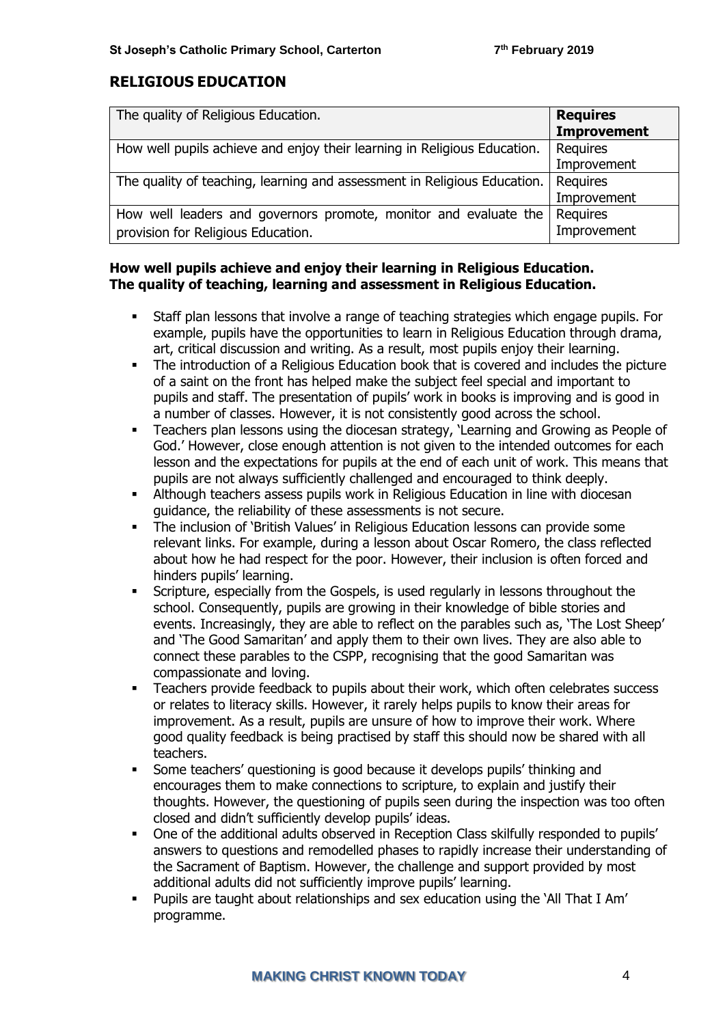## **RELIGIOUS EDUCATION**

| The quality of Religious Education.                                      | <b>Requires</b><br><b>Improvement</b> |
|--------------------------------------------------------------------------|---------------------------------------|
| How well pupils achieve and enjoy their learning in Religious Education. | Requires                              |
|                                                                          | Improvement                           |
| The quality of teaching, learning and assessment in Religious Education. | Requires                              |
|                                                                          | Improvement                           |
| How well leaders and governors promote, monitor and evaluate the         | Requires                              |
| provision for Religious Education.                                       | Improvement                           |

### **How well pupils achieve and enjoy their learning in Religious Education. The quality of teaching, learning and assessment in Religious Education.**

- Staff plan lessons that involve a range of teaching strategies which engage pupils. For example, pupils have the opportunities to learn in Religious Education through drama, art, critical discussion and writing. As a result, most pupils enjoy their learning.
- The introduction of a Religious Education book that is covered and includes the picture of a saint on the front has helped make the subject feel special and important to pupils and staff. The presentation of pupils' work in books is improving and is good in a number of classes. However, it is not consistently good across the school.
- **EXECT** Teachers plan lessons using the diocesan strategy, 'Learning and Growing as People of God.' However, close enough attention is not given to the intended outcomes for each lesson and the expectations for pupils at the end of each unit of work. This means that pupils are not always sufficiently challenged and encouraged to think deeply.
- **EXECT** Although teachers assess pupils work in Religious Education in line with diocesan guidance, the reliability of these assessments is not secure.
- The inclusion of 'British Values' in Religious Education lessons can provide some relevant links. For example, during a lesson about Oscar Romero, the class reflected about how he had respect for the poor. However, their inclusion is often forced and hinders pupils' learning.
- Scripture, especially from the Gospels, is used regularly in lessons throughout the school. Consequently, pupils are growing in their knowledge of bible stories and events. Increasingly, they are able to reflect on the parables such as, 'The Lost Sheep' and 'The Good Samaritan' and apply them to their own lives. They are also able to connect these parables to the CSPP, recognising that the good Samaritan was compassionate and loving.
- **EXECTER 15 Teachers provide feedback to pupils about their work, which often celebrates success** or relates to literacy skills. However, it rarely helps pupils to know their areas for improvement. As a result, pupils are unsure of how to improve their work. Where good quality feedback is being practised by staff this should now be shared with all teachers.
- Some teachers' questioning is good because it develops pupils' thinking and encourages them to make connections to scripture, to explain and justify their thoughts. However, the questioning of pupils seen during the inspection was too often closed and didn't sufficiently develop pupils' ideas.
- One of the additional adults observed in Reception Class skilfully responded to pupils' answers to questions and remodelled phases to rapidly increase their understanding of the Sacrament of Baptism. However, the challenge and support provided by most additional adults did not sufficiently improve pupils' learning.
- Pupils are taught about relationships and sex education using the 'All That I Am' programme.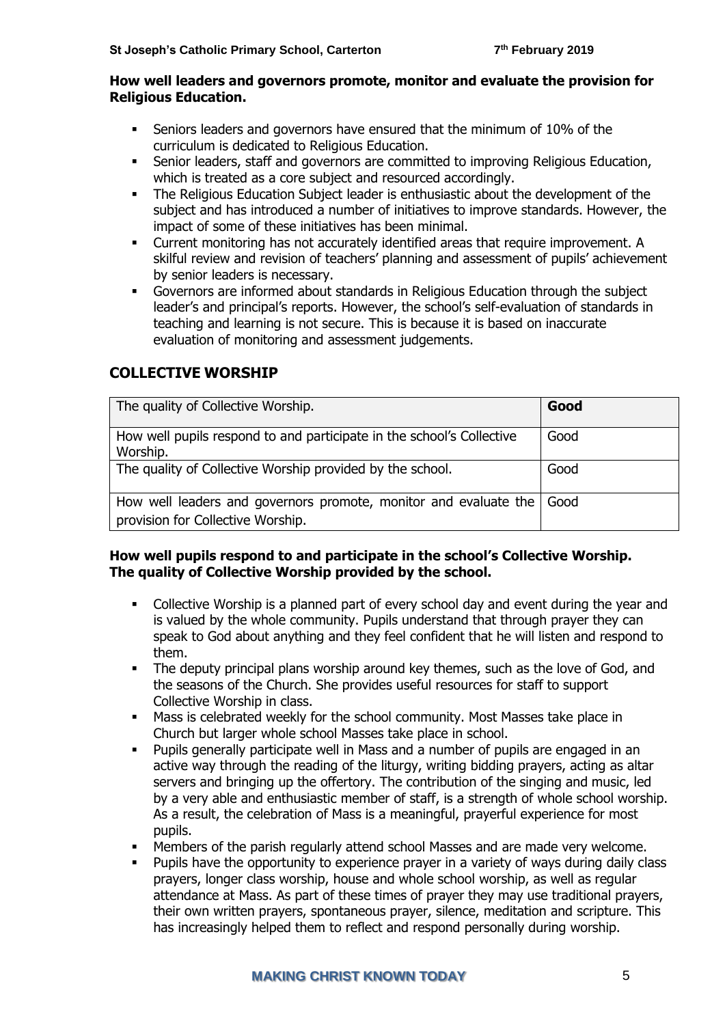#### **How well leaders and governors promote, monitor and evaluate the provision for Religious Education.**

- Seniors leaders and governors have ensured that the minimum of 10% of the curriculum is dedicated to Religious Education.
- Senior leaders, staff and governors are committed to improving Religious Education, which is treated as a core subject and resourced accordingly.
- The Religious Education Subject leader is enthusiastic about the development of the subject and has introduced a number of initiatives to improve standards. However, the impact of some of these initiatives has been minimal.
- Current monitoring has not accurately identified areas that require improvement. A skilful review and revision of teachers' planning and assessment of pupils' achievement by senior leaders is necessary.
- Governors are informed about standards in Religious Education through the subject leader's and principal's reports. However, the school's self-evaluation of standards in teaching and learning is not secure. This is because it is based on inaccurate evaluation of monitoring and assessment judgements.

# **COLLECTIVE WORSHIP**

| The quality of Collective Worship.                                                                    | Good |
|-------------------------------------------------------------------------------------------------------|------|
| How well pupils respond to and participate in the school's Collective<br>Worship.                     | Good |
| The quality of Collective Worship provided by the school.                                             | Good |
| How well leaders and governors promote, monitor and evaluate the<br>provision for Collective Worship. | Good |

### **How well pupils respond to and participate in the school's Collective Worship. The quality of Collective Worship provided by the school.**

- Collective Worship is a planned part of every school day and event during the year and is valued by the whole community. Pupils understand that through prayer they can speak to God about anything and they feel confident that he will listen and respond to them.
- The deputy principal plans worship around key themes, such as the love of God, and the seasons of the Church. She provides useful resources for staff to support Collective Worship in class.
- Mass is celebrated weekly for the school community. Most Masses take place in Church but larger whole school Masses take place in school.
- Pupils generally participate well in Mass and a number of pupils are engaged in an active way through the reading of the liturgy, writing bidding prayers, acting as altar servers and bringing up the offertory. The contribution of the singing and music, led by a very able and enthusiastic member of staff, is a strength of whole school worship. As a result, the celebration of Mass is a meaningful, prayerful experience for most pupils.
- Members of the parish regularly attend school Masses and are made very welcome.
- Pupils have the opportunity to experience prayer in a variety of ways during daily class prayers, longer class worship, house and whole school worship, as well as regular attendance at Mass. As part of these times of prayer they may use traditional prayers, their own written prayers, spontaneous prayer, silence, meditation and scripture. This has increasingly helped them to reflect and respond personally during worship.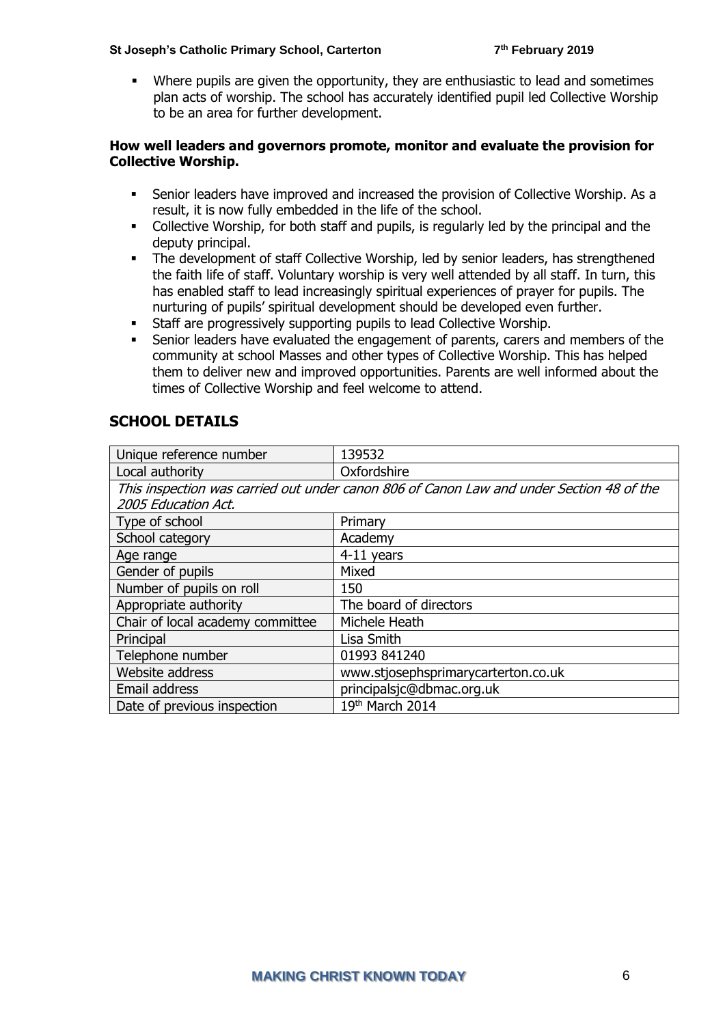#### **St Joseph's Catholic Primary School, Carterton 7**

Where pupils are given the opportunity, they are enthusiastic to lead and sometimes plan acts of worship. The school has accurately identified pupil led Collective Worship to be an area for further development.

#### **How well leaders and governors promote, monitor and evaluate the provision for Collective Worship.**

- **EXECT** Senior leaders have improved and increased the provision of Collective Worship. As a result, it is now fully embedded in the life of the school.
- Collective Worship, for both staff and pupils, is regularly led by the principal and the deputy principal.
- **•** The development of staff Collective Worship, led by senior leaders, has strengthened the faith life of staff. Voluntary worship is very well attended by all staff. In turn, this has enabled staff to lead increasingly spiritual experiences of prayer for pupils. The nurturing of pupils' spiritual development should be developed even further.
- Staff are progressively supporting pupils to lead Collective Worship.
- **EXECT** Senior leaders have evaluated the engagement of parents, carers and members of the community at school Masses and other types of Collective Worship. This has helped them to deliver new and improved opportunities. Parents are well informed about the times of Collective Worship and feel welcome to attend.

# **SCHOOL DETAILS**

| Unique reference number                                                                  | 139532                              |  |
|------------------------------------------------------------------------------------------|-------------------------------------|--|
| Local authority                                                                          | Oxfordshire                         |  |
| This inspection was carried out under canon 806 of Canon Law and under Section 48 of the |                                     |  |
| 2005 Education Act.                                                                      |                                     |  |
| Type of school                                                                           | Primary                             |  |
| School category                                                                          | Academy                             |  |
| Age range                                                                                | 4-11 years                          |  |
| Gender of pupils                                                                         | Mixed                               |  |
| Number of pupils on roll                                                                 | 150                                 |  |
| Appropriate authority                                                                    | The board of directors              |  |
| Chair of local academy committee                                                         | Michele Heath                       |  |
| Principal                                                                                | Lisa Smith                          |  |
| Telephone number                                                                         | 01993 841240                        |  |
| Website address                                                                          | www.stjosephsprimarycarterton.co.uk |  |
| Email address                                                                            | principalsjc@dbmac.org.uk           |  |
| Date of previous inspection                                                              | 19th March 2014                     |  |